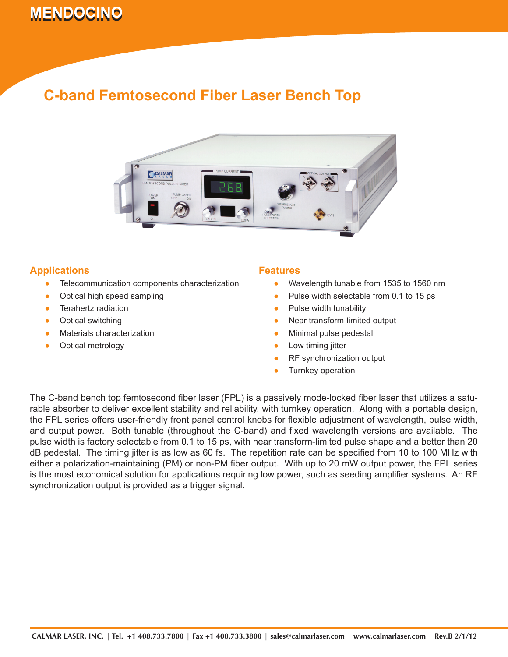

## **C-band Femtosecond Fiber Laser Bench Top**



## **Applications**

- Telecommunication components characterization ●
- Optical high speed sampling ●
- Terahertz radiation ●
- Optical switching ●
- Materials characterization ●
- Optical metrology ●

#### **Features**

- Wavelength tunable from 1535 to 1560 nm ●
- Pulse width selectable from 0.1 to 15 ps ●
- Pulse width tunability ●
- Near transform-limited output ●
- Minimal pulse pedestal ●
- Low timing jitter ●
- RF synchronization output ●
- Turnkey operation ●

The C-band bench top femtosecond fiber laser (FPL) is a passively mode-locked fiber laser that utilizes a saturable absorber to deliver excellent stability and reliability, with turnkey operation. Along with a portable design, the FPL series offers user-friendly front panel control knobs for flexible adjustment of wavelength, pulse width, and output power. Both tunable (throughout the C-band) and fixed wavelength versions are available. The pulse width is factory selectable from 0.1 to 15 ps, with near transform-limited pulse shape and a better than 20 dB pedestal. The timing jitter is as low as 60 fs. The repetition rate can be specified from 10 to 100 MHz with either a polarization-maintaining (PM) or non-PM fiber output. With up to 20 mW output power, the FPL series is the most economical solution for applications requiring low power, such as seeding amplifier systems. An RF synchronization output is provided as a trigger signal.